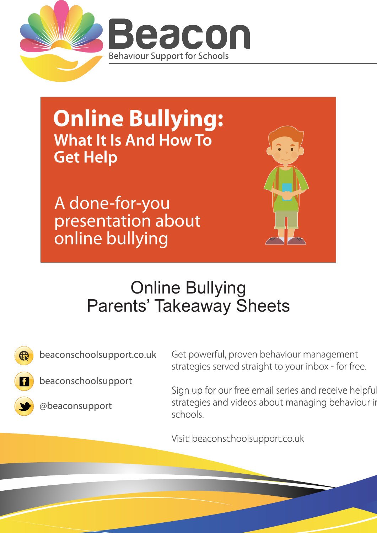

**Online Bullying: What It Is And How To Get Help** 

A done-for-you presentation about online bullying



## Online Bullying Parents' Takeaway Sheets



beaconschoolsupport.co.uk





@beaconsupport

Get powerful, proven behaviour management strategies served straight to your inbox - for free.

Sign up for our free email series and receive helpful strategies and videos about managing behaviour in schools.

Visit: beaconschoolsupport.co.uk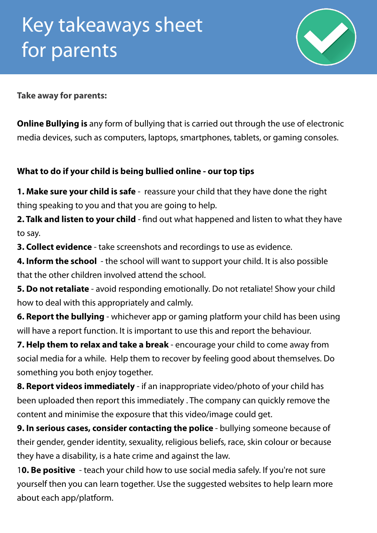

**Take away for parents:**

**Online Bullying is** any form of bullying that is carried out through the use of electronic media devices, such as computers, laptops, smartphones, tablets, or gaming consoles.

## **What to do if your child is being bullied online - our top tips**

**1. Make sure your child is safe** - reassure your child that they have done the right thing speaking to you and that you are going to help.

**2. Talk and listen to your child** - find out what happened and listen to what they have to say.

**3. Collect evidence** - take screenshots and recordings to use as evidence.

**4. Inform the school** - the school will want to support your child. It is also possible that the other children involved attend the school.

**5. Do not retaliate** - avoid responding emotionally. Do not retaliate! Show your child how to deal with this appropriately and calmly.

**6. Report the bullying** - whichever app or gaming platform your child has been using will have a report function. It is important to use this and report the behaviour.

**7. Help them to relax and take a break** - encourage your child to come away from social media for a while. Help them to recover by feeling good about themselves. Do something you both enjoy together.

**8. Report videos immediately** - if an inappropriate video/photo of your child has been uploaded then report this immediately . The company can quickly remove the content and minimise the exposure that this video/image could get.

**9. In serious cases, consider contacting the police** - bullying someone because of their gender, gender identity, sexuality, religious beliefs, race, skin colour or because they have a disability, is a hate crime and against the law.

1**0. Be positive** - teach your child how to use social media safely. If you're not sure yourself then you can learn together. Use the suggested websites to help learn more about each app/platform.